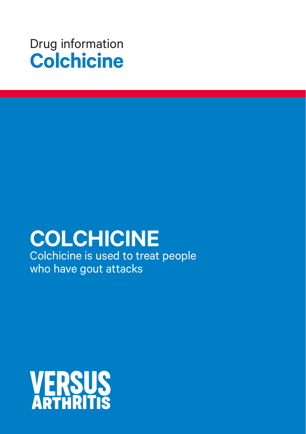

# **COLCHICINE**

Colchicine is used to treat people who have gout attacks

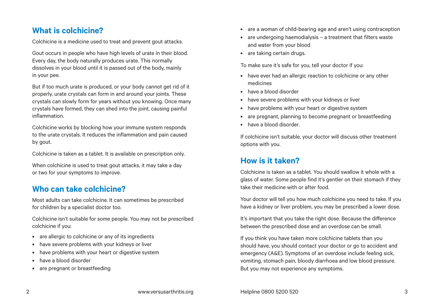# **What is colchicine?**

Colchicine is a medicine used to treat and prevent gout attacks.

Gout occurs in people who have high levels of urate in their blood. Every day, the body naturally produces urate. This normally dissolves in your blood until it is passed out of the body, mainly in your pee.

But if too much urate is produced, or your body cannot get rid of it properly, urate crystals can form in and around your joints. These crystals can slowly form for years without you knowing. Once many crystals have formed, they can shed into the joint, causing painful inflammation.

Colchicine works by blocking how your immune system responds to the urate crystals. It reduces the inflammation and pain caused by gout.

Colchicine is taken as a tablet. It is available on prescription only.

When colchicine is used to treat gout attacks, it may take a day or two for your symptoms to improve.

# **Who can take colchicine?**

Most adults can take colchicine. It can sometimes be prescribed for children by a specialist doctor too.

Colchicine isn't suitable for some people. You may not be prescribed colchicine if you:

- are allergic to colchicine or any of its ingredients
- have severe problems with your kidneys or liver
- have problems with your heart or digestive system
- have a blood disorder
- are pregnant or breastfeeding
- are a woman of child-bearing age and aren't using contraception
- are undergoing haemodialysis a treatment that filters waste and water from your blood
- are taking certain drugs.

To make sure it's safe for you, tell your doctor if you:

- have ever had an allergic reaction to colchicine or any other medicines
- have a blood disorder
- have severe problems with your kidneys or liver
- have problems with your heart or digestive system
- are pregnant, planning to become pregnant or breastfeeding
- have a blood disorder.

If colchicine isn't suitable, your doctor will discuss other treatment options with you.

# **How is it taken?**

Colchicine is taken as a tablet. You should swallow it whole with a glass of water. Some people find it's gentler on their stomach if they take their medicine with or after food.

Your doctor will tell you how much colchicine you need to take. If you have a kidney or liver problem, you may be prescribed a lower dose.

It's important that you take the right dose. Because the difference between the prescribed dose and an overdose can be small.

If you think you have taken more colchicine tablets than you should have, you should contact your doctor or go to accident and emergency (A&E). Symptoms of an overdose include feeling sick, vomiting, stomach pain, bloody diarrhoea and low blood pressure. But you may not experience any symptoms.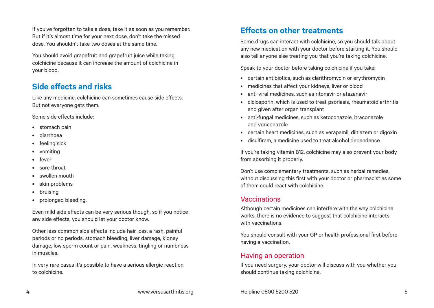If you've forgotten to take a dose, take it as soon as you remember. But if it's almost time for your next dose, don't take the missed dose. You shouldn't take two doses at the same time.

You should avoid grapefruit and grapefruit juice while taking colchicine because it can increase the amount of colchicine in your blood.

# **Side effects and risks**

Like any medicine, colchicine can sometimes cause side effects. But not everyone gets them.

Some side effects include:

- stomach pain
- diarrhoea
- feeling sick
- vomiting
- fever
- sore throat
- swollen mouth
- skin problems
- bruising
- prolonged bleeding.

Even mild side effects can be very serious though, so if you notice any side effects, you should let your doctor know.

Other less common side effects include hair loss, a rash, painful periods or no periods, stomach bleeding, liver damage, kidney damage, low sperm count or pain, weakness, tingling or numbness in muscles.

In very rare cases it's possible to have a serious allergic reaction to colchicine.

# **Effects on other treatments**

Some drugs can interact with colchicine, so you should talk about any new medication with your doctor before starting it. You should also tell anyone else treating you that you're taking colchicine.

Speak to your doctor before taking colchicine if you take:

- certain antibiotics, such as clarithromycin or erythromycin
- medicines that affect your kidneys, liver or blood
- anti-viral medicines, such as ritonavir or atazanavir
- ciclosporin, which is used to treat psoriasis, rheumatoid arthritis and given after organ transplant
- anti-fungal medicines, such as ketoconazole, itraconazole and voriconazole
- certain heart medicines, such as verapamil, diltiazem or digoxin
- disulfiram, a medicine used to treat alcohol dependence.

If you're taking vitamin B12, colchicine may also prevent your body from absorbing it properly.

Don't use complementary treatments, such as herbal remedies, without discussing this first with your doctor or pharmacist as some of them could react with colchicine.

#### Vaccinations

Although certain medicines can interfere with the way colchicine works, there is no evidence to suggest that colchicine interacts with vaccinations.

You should consult with your GP or health professional first before having a vaccination.

### Having an operation

If you need surgery, your doctor will discuss with you whether you should continue taking colchicine.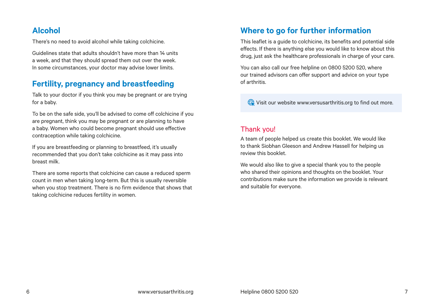# **Alcohol**

There's no need to avoid alcohol while taking colchicine.

Guidelines state that adults shouldn't have more than 14 units a week, and that they should spread them out over the week. In some circumstances, your doctor may advise lower limits.

# **Fertility, pregnancy and breastfeeding**

Talk to your doctor if you think you may be pregnant or are trying for a baby.

To be on the safe side, you'll be advised to come off colchicine if you are pregnant, think you may be pregnant or are planning to have a baby. Women who could become pregnant should use effective contraception while taking colchicine.

If you are breastfeeding or planning to breastfeed, it's usually recommended that you don't take colchicine as it may pass into breast milk.

There are some reports that colchicine can cause a reduced sperm count in men when taking long-term. But this is usually reversible when you stop treatment. There is no firm evidence that shows that taking colchicine reduces fertility in women.

# **Where to go for further information**

This leaflet is a guide to colchicine, its benefits and potential side effects. If there is anything else you would like to know about this drug, just ask the healthcare professionals in charge of your care.

You can also call our free helpline on 0800 5200 520, where our trained advisors can offer support and advice on your type of arthritis.

Visit our website [www.versusarthritis.org](http://www.versusarthritis.org) to find out more.

# Thank you!

A team of people helped us create this booklet. We would like to thank Siobhan Gleeson and Andrew Hassell for helping us review this booklet.

We would also like to give a special thank you to the people who shared their opinions and thoughts on the booklet. Your contributions make sure the information we provide is relevant and suitable for everyone.